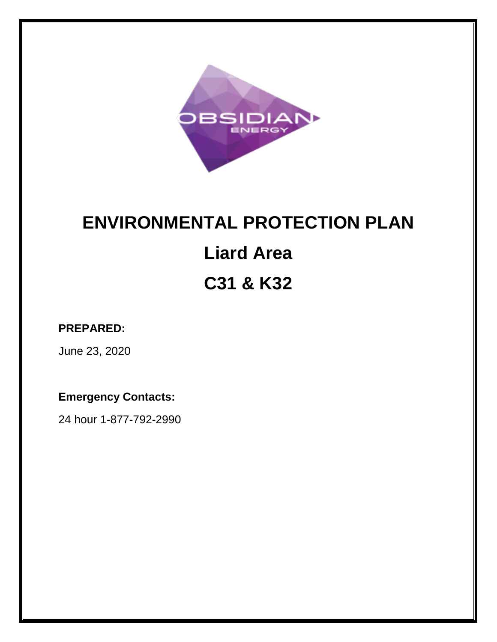

# **ENVIRONMENTAL PROTECTION PLAN Liard Area C31 & K32**

# **PREPARED:**

June 23, 2020

# **Emergency Contacts:**

24 hour 1-877-792-2990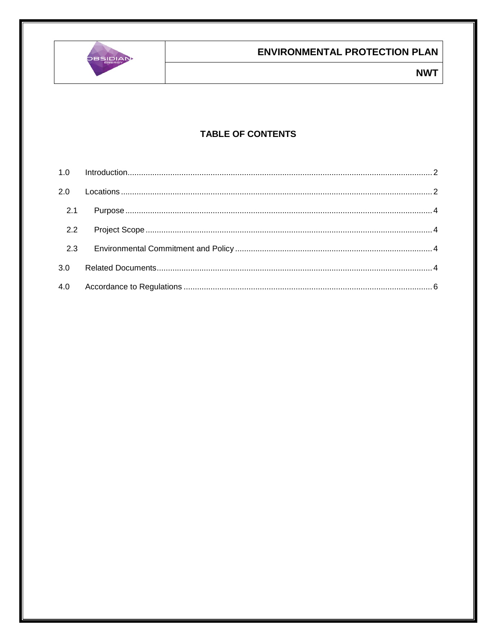

### **TABLE OF CONTENTS**

| 2.1 |  |
|-----|--|
|     |  |
| 2.3 |  |
| 3.0 |  |
|     |  |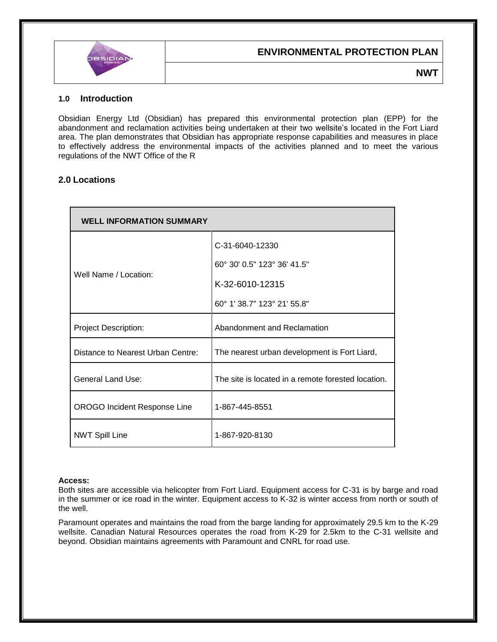

**NWT**

#### <span id="page-2-0"></span>**1.0 Introduction**

Obsidian Energy Ltd (Obsidian) has prepared this environmental protection plan (EPP) for the abandonment and reclamation activities being undertaken at their two wellsite's located in the Fort Liard area. The plan demonstrates that Obsidian has appropriate response capabilities and measures in place to effectively address the environmental impacts of the activities planned and to meet the various regulations of the NWT Office of the R

#### <span id="page-2-1"></span>**2.0 Locations**

| <b>WELL INFORMATION SUMMARY</b>     |                                                    |  |  |  |  |
|-------------------------------------|----------------------------------------------------|--|--|--|--|
|                                     | C-31-6040-12330                                    |  |  |  |  |
|                                     | 60° 30' 0.5" 123° 36' 41.5"                        |  |  |  |  |
| Well Name / Location:               | K-32-6010-12315                                    |  |  |  |  |
|                                     | 60° 1' 38.7" 123° 21' 55.8"                        |  |  |  |  |
| <b>Project Description:</b>         | Abandonment and Reclamation                        |  |  |  |  |
| Distance to Nearest Urban Centre:   | The nearest urban development is Fort Liard,       |  |  |  |  |
| <b>General Land Use:</b>            | The site is located in a remote forested location. |  |  |  |  |
| <b>OROGO Incident Response Line</b> | 1-867-445-8551                                     |  |  |  |  |
| <b>NWT Spill Line</b>               | 1-867-920-8130                                     |  |  |  |  |

#### **Access:**

Both sites are accessible via helicopter from Fort Liard. Equipment access for C-31 is by barge and road in the summer or ice road in the winter. Equipment access to K-32 is winter access from north or south of the well.

Paramount operates and maintains the road from the barge landing for approximately 29.5 km to the K-29 wellsite. Canadian Natural Resources operates the road from K-29 for 2.5km to the C-31 wellsite and beyond. Obsidian maintains agreements with Paramount and CNRL for road use.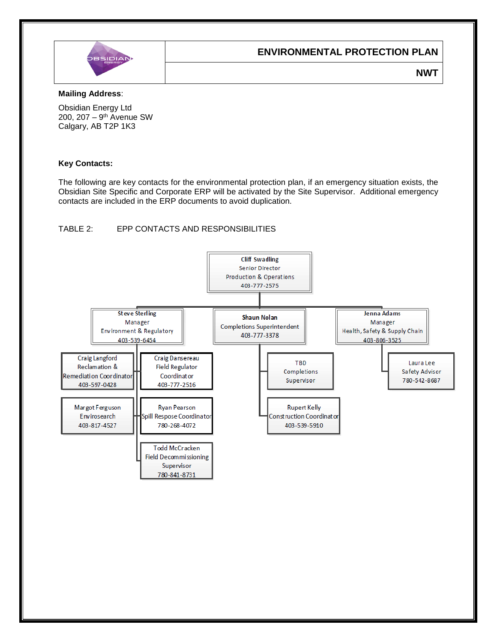

**NWT**

#### **Mailing Address**:

Obsidian Energy Ltd 200, 207 – 9<sup>th</sup> Avenue SW Calgary, AB T2P 1K3

#### **Key Contacts:**

The following are key contacts for the environmental protection plan, if an emergency situation exists, the Obsidian Site Specific and Corporate ERP will be activated by the Site Supervisor. Additional emergency contacts are included in the ERP documents to avoid duplication.

#### TABLE 2: EPP CONTACTS AND RESPONSIBILITIES

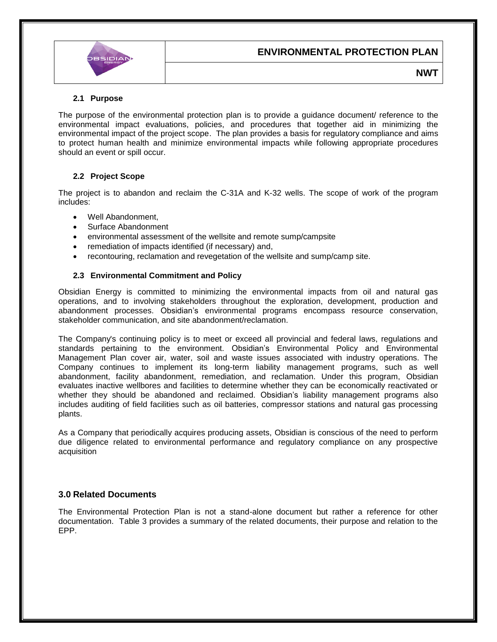

**NWT**

#### <span id="page-4-0"></span>**2.1 Purpose**

The purpose of the environmental protection plan is to provide a guidance document/ reference to the environmental impact evaluations, policies, and procedures that together aid in minimizing the environmental impact of the project scope. The plan provides a basis for regulatory compliance and aims to protect human health and minimize environmental impacts while following appropriate procedures should an event or spill occur.

#### <span id="page-4-1"></span>**2.2 Project Scope**

The project is to abandon and reclaim the C-31A and K-32 wells. The scope of work of the program includes:

- Well Abandonment
- Surface Abandonment
- environmental assessment of the wellsite and remote sump/campsite
- remediation of impacts identified (if necessary) and,
- <span id="page-4-2"></span>recontouring, reclamation and revegetation of the wellsite and sump/camp site.

#### **2.3 Environmental Commitment and Policy**

Obsidian Energy is committed to minimizing the environmental impacts from oil and natural gas operations, and to involving stakeholders throughout the exploration, development, production and abandonment processes. Obsidian's environmental programs encompass resource conservation, stakeholder communication, and site abandonment/reclamation.

The Company's continuing policy is to meet or exceed all provincial and federal laws, regulations and standards pertaining to the environment. Obsidian's Environmental Policy and Environmental Management Plan cover air, water, soil and waste issues associated with industry operations. The Company continues to implement its long-term liability management programs, such as well abandonment, facility abandonment, remediation, and reclamation. Under this program, Obsidian evaluates inactive wellbores and facilities to determine whether they can be economically reactivated or whether they should be abandoned and reclaimed. Obsidian's liability management programs also includes auditing of field facilities such as oil batteries, compressor stations and natural gas processing plants.

As a Company that periodically acquires producing assets, Obsidian is conscious of the need to perform due diligence related to environmental performance and regulatory compliance on any prospective acquisition

#### <span id="page-4-3"></span>**3.0 Related Documents**

The Environmental Protection Plan is not a stand-alone document but rather a reference for other documentation. Table 3 provides a summary of the related documents, their purpose and relation to the EPP.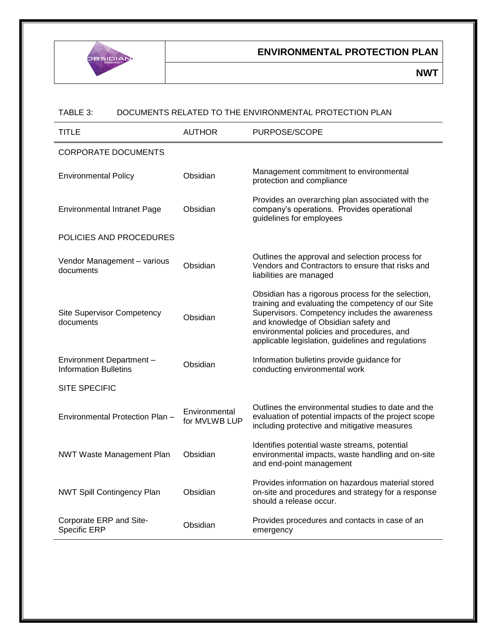

**NWT**

#### TABLE 3: DOCUMENTS RELATED TO THE ENVIRONMENTAL PROTECTION PLAN

| <b>TITLE</b>                                            | <b>AUTHOR</b>                  | PURPOSE/SCOPE                                                                                                                                                                                                                                                                                          |  |  |  |  |
|---------------------------------------------------------|--------------------------------|--------------------------------------------------------------------------------------------------------------------------------------------------------------------------------------------------------------------------------------------------------------------------------------------------------|--|--|--|--|
| <b>CORPORATE DOCUMENTS</b>                              |                                |                                                                                                                                                                                                                                                                                                        |  |  |  |  |
| <b>Environmental Policy</b>                             | Obsidian                       | Management commitment to environmental<br>protection and compliance                                                                                                                                                                                                                                    |  |  |  |  |
| <b>Environmental Intranet Page</b>                      | Obsidian                       | Provides an overarching plan associated with the<br>company's operations. Provides operational<br>guidelines for employees                                                                                                                                                                             |  |  |  |  |
| POLICIES AND PROCEDURES                                 |                                |                                                                                                                                                                                                                                                                                                        |  |  |  |  |
| Vendor Management - various<br>documents                | Obsidian                       | Outlines the approval and selection process for<br>Vendors and Contractors to ensure that risks and<br>liabilities are managed                                                                                                                                                                         |  |  |  |  |
| <b>Site Supervisor Competency</b><br>documents          | Obsidian                       | Obsidian has a rigorous process for the selection,<br>training and evaluating the competency of our Site<br>Supervisors. Competency includes the awareness<br>and knowledge of Obsidian safety and<br>environmental policies and procedures, and<br>applicable legislation, guidelines and regulations |  |  |  |  |
| Environment Department-<br><b>Information Bulletins</b> | Obsidian                       | Information bulletins provide guidance for<br>conducting environmental work                                                                                                                                                                                                                            |  |  |  |  |
| <b>SITE SPECIFIC</b>                                    |                                |                                                                                                                                                                                                                                                                                                        |  |  |  |  |
| Environmental Protection Plan -                         | Environmental<br>for MVLWB LUP | Outlines the environmental studies to date and the<br>evaluation of potential impacts of the project scope<br>including protective and mitigative measures                                                                                                                                             |  |  |  |  |
| <b>NWT Waste Management Plan</b>                        | Obsidian                       | Identifies potential waste streams, potential<br>environmental impacts, waste handling and on-site<br>and end-point management                                                                                                                                                                         |  |  |  |  |
| <b>NWT Spill Contingency Plan</b>                       | Obsidian                       | Provides information on hazardous material stored<br>on-site and procedures and strategy for a response<br>should a release occur.                                                                                                                                                                     |  |  |  |  |
| Corporate ERP and Site-<br>Specific ERP                 | Obsidian                       | Provides procedures and contacts in case of an<br>emergency                                                                                                                                                                                                                                            |  |  |  |  |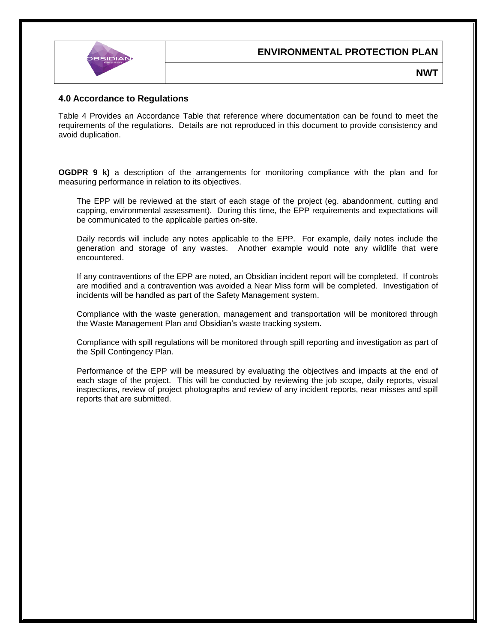# **BSIDI**

#### **ENVIRONMENTAL PROTECTION PLAN**

**NWT**

#### <span id="page-6-0"></span>**4.0 Accordance to Regulations**

Table 4 Provides an Accordance Table that reference where documentation can be found to meet the requirements of the regulations. Details are not reproduced in this document to provide consistency and avoid duplication.

**OGDPR 9 k)** a description of the arrangements for monitoring compliance with the plan and for measuring performance in relation to its objectives.

The EPP will be reviewed at the start of each stage of the project (eg. abandonment, cutting and capping, environmental assessment). During this time, the EPP requirements and expectations will be communicated to the applicable parties on-site.

Daily records will include any notes applicable to the EPP. For example, daily notes include the generation and storage of any wastes. Another example would note any wildlife that were encountered.

If any contraventions of the EPP are noted, an Obsidian incident report will be completed. If controls are modified and a contravention was avoided a Near Miss form will be completed. Investigation of incidents will be handled as part of the Safety Management system.

Compliance with the waste generation, management and transportation will be monitored through the Waste Management Plan and Obsidian's waste tracking system.

Compliance with spill regulations will be monitored through spill reporting and investigation as part of the Spill Contingency Plan.

Performance of the EPP will be measured by evaluating the objectives and impacts at the end of each stage of the project. This will be conducted by reviewing the job scope, daily reports, visual inspections, review of project photographs and review of any incident reports, near misses and spill reports that are submitted.